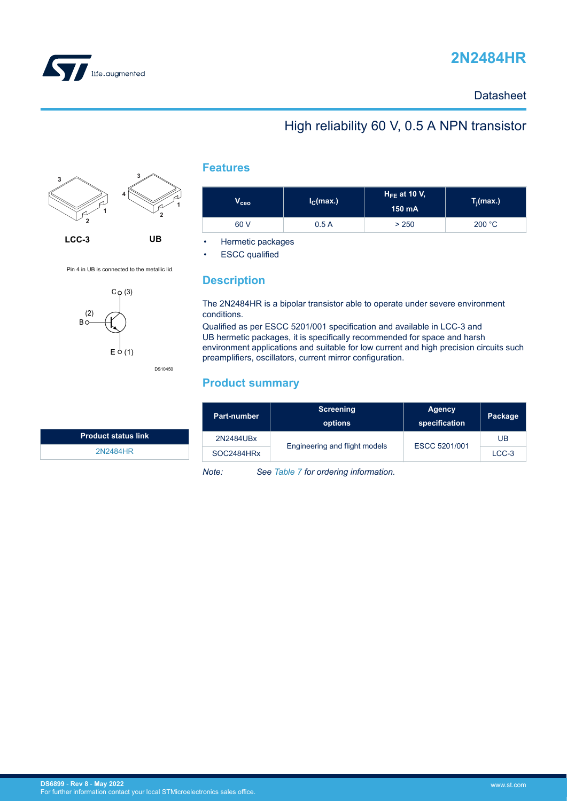

# **2N2484HR**

#### **Datasheet**

### High reliability 60 V, 0.5 A NPN transistor



Pin 4 in UB is connected to the metallic lid.

C (3)

 $F \nightharpoonup$ 

 $(1)$ 

**Bo** (2)

DS10450



| $\mathsf{v}_\mathsf{ceo}$ | I <sub>C</sub> (max.) | $H_{FE}$ at 10 V,<br>150 mA | $T_j(max.)$ |
|---------------------------|-----------------------|-----------------------------|-------------|
| 60 V                      | 0.5A                  | > 250                       | 200 °C      |

• Hermetic packages

**ESCC** qualified

#### **Description**

The 2N2484HR is a bipolar transistor able to operate under severe environment conditions.

Qualified as per ESCC 5201/001 specification and available in LCC-3 and UB hermetic packages, it is specifically recommended for space and harsh environment applications and suitable for low current and high precision circuits such preamplifiers, oscillators, current mirror configuration.

#### **Product summary**

| <b>Part-number</b> | <b>Screening</b><br>options   | <b>Agency</b><br>specification | Package |
|--------------------|-------------------------------|--------------------------------|---------|
| 2N2484UBx          | Engineering and flight models | ESCC 5201/001                  | UB      |
| SOC2484HRx         |                               |                                | $LCC-3$ |

*Note: See [Table 7](#page-8-0) for ordering information.*

**Product status link** [2N2484HR](https://www.st.com/en/product/2n2484hr?ecmp=tt9470_gl_link_feb2019&rt=ds&id=DS6899)

**DS6899** - **Rev 8** - **May 2022** For further information contact your local STMicroelectronics sales office.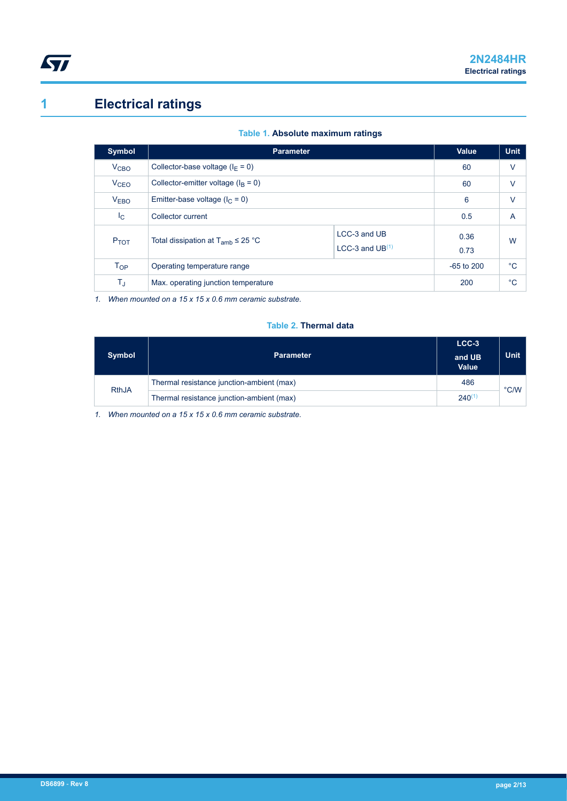<span id="page-1-0"></span>

# **1 Electrical ratings**

|  | Table 1. Absolute maximum ratings |  |
|--|-----------------------------------|--|
|  |                                   |  |

| <b>Symbol</b>          | <b>Parameter</b>                                                                  |                | Value        | <b>Unit</b> |
|------------------------|-----------------------------------------------------------------------------------|----------------|--------------|-------------|
| V <sub>CBO</sub>       | Collector-base voltage ( $I_F = 0$ )                                              |                | 60           | $\vee$      |
| <b>V<sub>CEO</sub></b> | Collector-emitter voltage $(I_B = 0)$                                             |                | 60           | V           |
| <b>VEBO</b>            | Emitter-base voltage ( $I_C = 0$ )                                                | 6              | $\vee$       |             |
| $I_{\rm C}$            | Collector current                                                                 | 0.5            | A            |             |
| P <sub>TOT</sub>       | LCC-3 and UB<br>Total dissipation at $T_{amb} \leq 25$ °C<br>LCC-3 and $UB^{(1)}$ |                | 0.36<br>0.73 | W           |
| T <sub>OP</sub>        | Operating temperature range                                                       | $-65$ to $200$ | °C           |             |
| $T_J$                  | Max. operating junction temperature                                               | 200            | $^{\circ}C$  |             |

*1. When mounted on a 15 x 15 x 0.6 mm ceramic substrate.*

#### **Table 2. Thermal data**

| <b>Symbol</b> | <b>Parameter</b>                          | $LCC-3$<br>and UB<br><b>Value</b> | <b>Unit</b>   |
|---------------|-------------------------------------------|-----------------------------------|---------------|
| <b>RthJA</b>  | Thermal resistance junction-ambient (max) | 486                               | $\degree$ C/W |
|               | Thermal resistance junction-ambient (max) | $240^{(1)}$                       |               |

*1. When mounted on a 15 x 15 x 0.6 mm ceramic substrate.*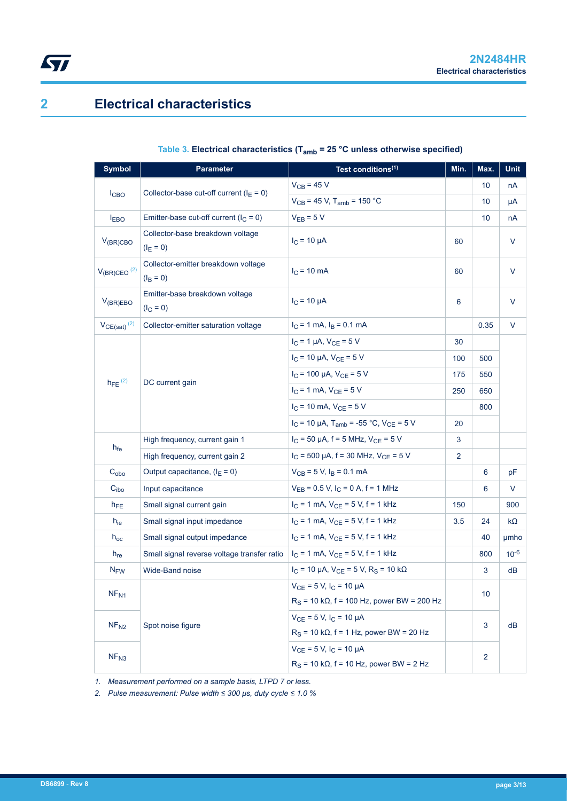## **2 Electrical characteristics**

<span id="page-2-0"></span> $\sqrt{2}$ 

#### **Table 3. Electrical characteristics (Tamb = 25 °C unless otherwise specified)**

| <b>Symbol</b>                | <b>Parameter</b>                                   | Test conditions <sup>(1)</sup>                                  |                | Max. | Unit      |
|------------------------------|----------------------------------------------------|-----------------------------------------------------------------|----------------|------|-----------|
|                              | Collector-base cut-off current ( $I_E = 0$ )       | $V_{CB}$ = 45 V                                                 |                | 10   | nA        |
| <b>I</b> CBO                 |                                                    | $V_{CB}$ = 45 V, T <sub>amb</sub> = 150 °C                      |                | 10   | μA        |
| $I_{EBO}$                    | Emitter-base cut-off current $(l_C = 0)$           | $V_{EB} = 5 V$                                                  |                | 10   | пA        |
| $V_{(BR)CBO}$                | Collector-base breakdown voltage<br>$(I_E = 0)$    | $I_C = 10 \mu A$                                                | 60             |      | V         |
| $V_{(BR)CEO}$ <sup>(2)</sup> | Collector-emitter breakdown voltage<br>$(I_B = 0)$ | $I_{C}$ = 10 mA                                                 | 60             |      | V         |
| $V_{(BR)EBO}$                | Emitter-base breakdown voltage<br>$(I_C = 0)$      | $I_C = 10 \mu A$                                                | 6              |      | V         |
| $VCE(sat)$ <sup>(2)</sup>    | Collector-emitter saturation voltage               | $I_C = 1$ mA, $I_B = 0.1$ mA                                    |                | 0.35 | $\vee$    |
|                              |                                                    | $I_C = 1 \mu A$ , $V_{CE} = 5 V$                                | 30             |      |           |
|                              |                                                    | $I_C$ = 10 µA, $V_{CE}$ = 5 V                                   | 100            | 500  |           |
|                              |                                                    | $I_C$ = 100 µA, $V_{CE}$ = 5 V                                  | 175            | 550  |           |
| $h_{FE}$ <sup>(2)</sup>      | DC current gain                                    | $I_C = 1$ mA, $V_{CE} = 5$ V                                    | 250            | 650  |           |
|                              |                                                    | $I_C$ = 10 mA, $V_{CE}$ = 5 V                                   |                | 800  |           |
|                              |                                                    | $I_C$ = 10 µA, T <sub>amb</sub> = -55 °C, V <sub>CE</sub> = 5 V | 20             |      |           |
|                              | High frequency, current gain 1                     | $I_C$ = 50 µA, f = 5 MHz, $V_{CE}$ = 5 V                        | 3              |      |           |
| h <sub>fe</sub>              | High frequency, current gain 2                     | $I_C$ = 500 µA, f = 30 MHz, $V_{CE}$ = 5 V                      | $\overline{2}$ |      |           |
| $C_{\rm obo}$                | Output capacitance, $(I_E = 0)$                    | $V_{CB} = 5 V$ , $I_B = 0.1$ mA                                 |                | 6    | pF        |
| C <sub>ibo</sub>             | Input capacitance                                  | $V_{EB} = 0.5 V$ , $I_C = 0 A$ , f = 1 MHz                      |                | 6    | V         |
| $h_{FE}$                     | Small signal current gain                          | $I_C = 1$ mA, $V_{CE} = 5$ V, $f = 1$ kHz                       | 150            |      | 900       |
| $h_{ie}$                     | Small signal input impedance                       | $I_C = 1$ mA, $V_{CE} = 5$ V, f = 1 kHz                         | 3.5            | 24   | kΩ        |
| $h_{\rm oc}$                 | Small signal output impedance                      | $I_C = 1$ mA, $V_{CE} = 5$ V, f = 1 kHz                         |                | 40   | umho      |
| $h_{\text{re}}$              | Small signal reverse voltage transfer ratio        | $I_C = 1$ mA, $V_{CE} = 5$ V, f = 1 kHz                         |                | 800  | $10^{-6}$ |
| <b>N<sub>FW</sub></b>        | Wide-Band noise                                    | $I_C$ = 10 µA, $V_{CE}$ = 5 V, R <sub>S</sub> = 10 kΩ           |                | 3    | dВ        |
| NF <sub>N1</sub>             |                                                    | $V_{CE} = 5 V$ , $I_C = 10 \mu A$                               |                | 10   |           |
|                              |                                                    | $RS$ = 10 kΩ, f = 100 Hz, power BW = 200 Hz                     |                |      |           |
| NF <sub>N2</sub>             | Spot noise figure                                  | $V_{CE} = 5 V$ , $I_C = 10 \mu A$                               |                | 3    | dB        |
|                              |                                                    | $R_S$ = 10 k $\Omega$ , f = 1 Hz, power BW = 20 Hz              |                |      |           |
| NF <sub>N3</sub>             |                                                    | $V_{CE}$ = 5 V, $I_C$ = 10 µA                                   | $\overline{2}$ |      |           |
|                              |                                                    | $R_S$ = 10 k $\Omega$ , f = 10 Hz, power BW = 2 Hz              |                |      |           |

*1. Measurement performed on a sample basis, LTPD 7 or less.*

*2. Pulse measurement: Pulse width ≤ 300 μs, duty cycle ≤ 1.0 %*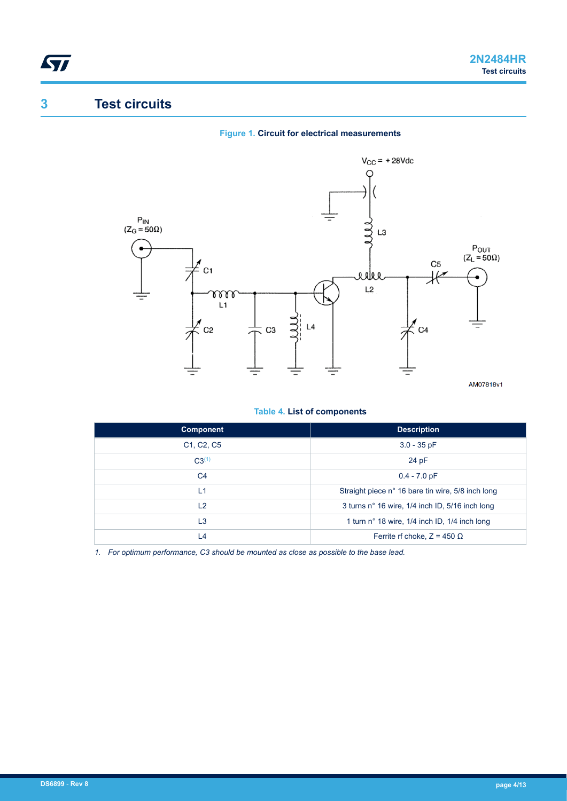# **3 Test circuits**

<span id="page-3-0"></span>ST

#### **Figure 1. Circuit for electrical measurements**



#### **Table 4. List of components**

| <b>Component</b>                                 | <b>Description</b>                                |
|--------------------------------------------------|---------------------------------------------------|
| C <sub>1</sub> , C <sub>2</sub> , C <sub>5</sub> | $3.0 - 35$ pF                                     |
| $C3^{(1)}$                                       | 24 pF                                             |
| C <sub>4</sub>                                   | $0.4 - 7.0$ pF                                    |
| L1                                               | Straight piece n° 16 bare tin wire, 5/8 inch long |
| L2                                               | 3 turns n° 16 wire, 1/4 inch ID, 5/16 inch long   |
| L <sub>3</sub>                                   | 1 turn n° 18 wire, 1/4 inch ID, 1/4 inch long     |
| L4                                               | Ferrite rf choke, $Z = 450 \Omega$                |

*1. For optimum performance, C3 should be mounted as close as possible to the base lead.*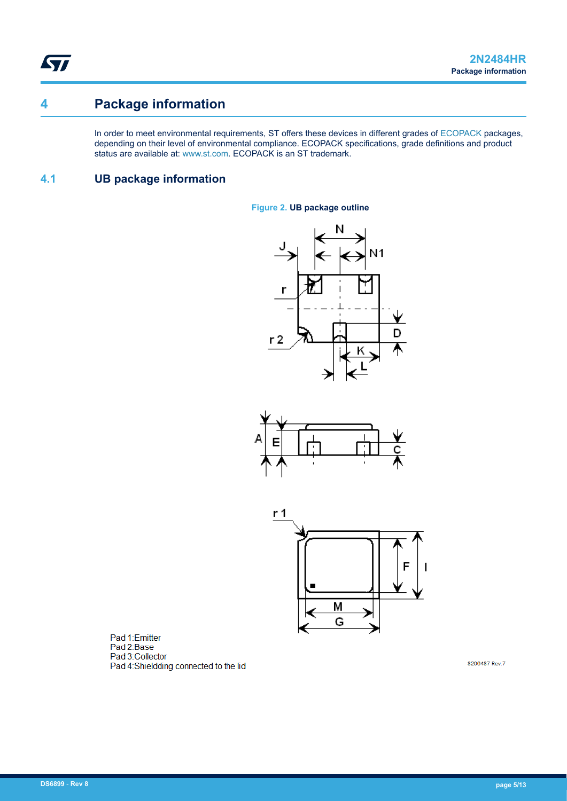<span id="page-4-0"></span>ST

## **4 Package information**

In order to meet environmental requirements, ST offers these devices in different grades of [ECOPACK](https://www.st.com/ecopack) packages, depending on their level of environmental compliance. ECOPACK specifications, grade definitions and product status are available at: [www.st.com.](http://www.st.com) ECOPACK is an ST trademark.

#### **4.1 UB package information**

#### **Figure 2. UB package outline**







Pad 1:Emitter Pad 2:Base Pad 3: Collector Pad 4:Shieldding connected to the lid

8206487 Rev.7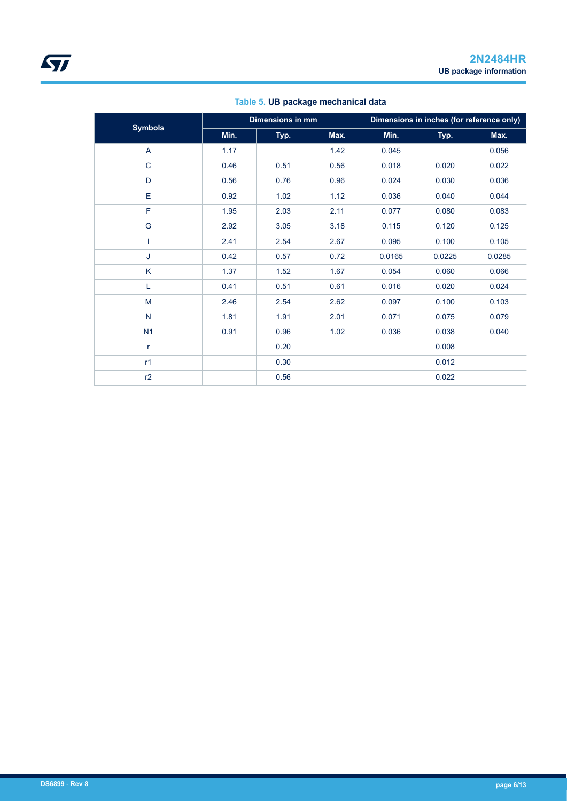| <b>Symbols</b> | <b>Dimensions in mm</b> |      |      | Dimensions in inches (for reference only) |        |        |
|----------------|-------------------------|------|------|-------------------------------------------|--------|--------|
|                | Min.                    | Typ. | Max. | Min.                                      | Typ.   | Max.   |
| A              | 1.17                    |      | 1.42 | 0.045                                     |        | 0.056  |
| $\mathbf C$    | 0.46                    | 0.51 | 0.56 | 0.018                                     | 0.020  | 0.022  |
| D              | 0.56                    | 0.76 | 0.96 | 0.024                                     | 0.030  | 0.036  |
| E              | 0.92                    | 1.02 | 1.12 | 0.036                                     | 0.040  | 0.044  |
| F              | 1.95                    | 2.03 | 2.11 | 0.077                                     | 0.080  | 0.083  |
| G              | 2.92                    | 3.05 | 3.18 | 0.115                                     | 0.120  | 0.125  |
|                | 2.41                    | 2.54 | 2.67 | 0.095                                     | 0.100  | 0.105  |
| J              | 0.42                    | 0.57 | 0.72 | 0.0165                                    | 0.0225 | 0.0285 |
| K              | 1.37                    | 1.52 | 1.67 | 0.054                                     | 0.060  | 0.066  |
| L              | 0.41                    | 0.51 | 0.61 | 0.016                                     | 0.020  | 0.024  |
| M              | 2.46                    | 2.54 | 2.62 | 0.097                                     | 0.100  | 0.103  |
| $\mathsf{N}$   | 1.81                    | 1.91 | 2.01 | 0.071                                     | 0.075  | 0.079  |
| N <sub>1</sub> | 0.91                    | 0.96 | 1.02 | 0.036                                     | 0.038  | 0.040  |
| r              |                         | 0.20 |      |                                           | 0.008  |        |
| r1             |                         | 0.30 |      |                                           | 0.012  |        |
| r2             |                         | 0.56 |      |                                           | 0.022  |        |

#### **Table 5. UB package mechanical data**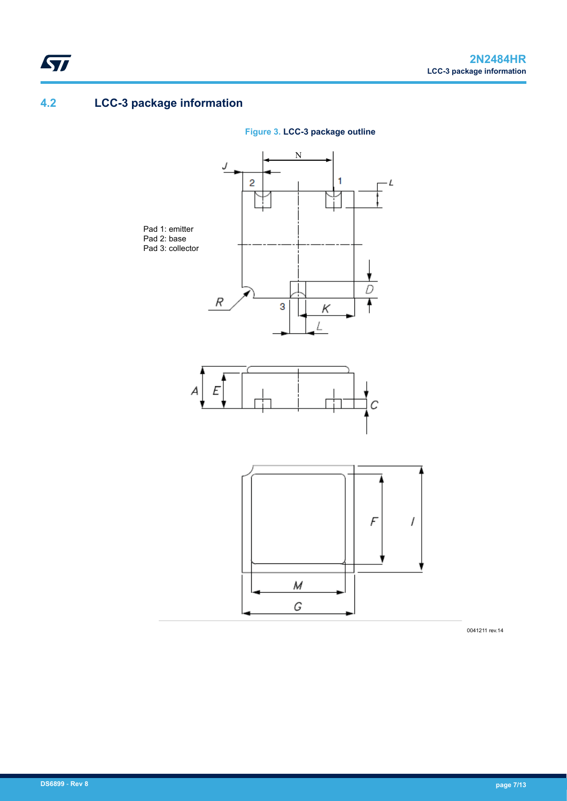# **4.2 LCC-3 package information**

<span id="page-6-0"></span> $\sqrt{2}$ 



**Figure 3. LCC-3 package outline**

0041211 rev.14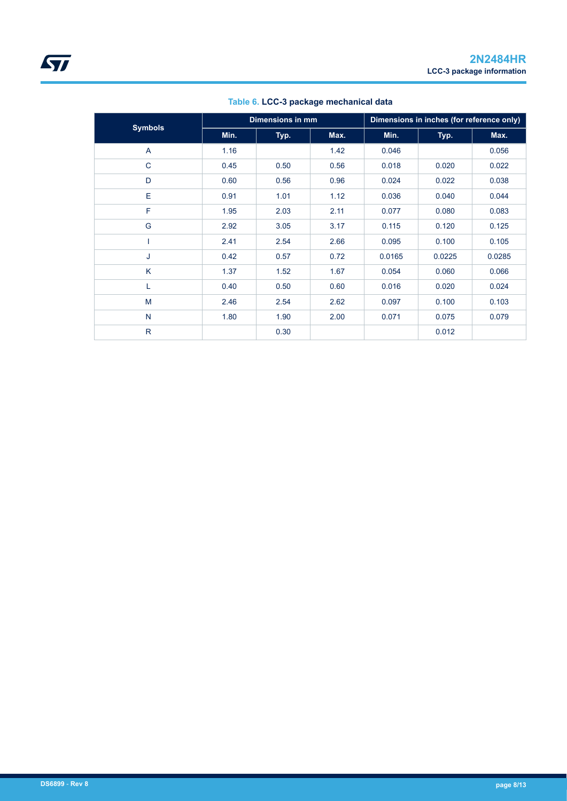|                |      | <b>Dimensions in mm</b> |      |        | Dimensions in inches (for reference only) |        |  |
|----------------|------|-------------------------|------|--------|-------------------------------------------|--------|--|
| <b>Symbols</b> | Min. | Typ.                    | Max. | Min.   | Typ.                                      | Max.   |  |
| A              | 1.16 |                         | 1.42 | 0.046  |                                           | 0.056  |  |
| $\mathsf{C}$   | 0.45 | 0.50                    | 0.56 | 0.018  | 0.020                                     | 0.022  |  |
| D              | 0.60 | 0.56                    | 0.96 | 0.024  | 0.022                                     | 0.038  |  |
| E              | 0.91 | 1.01                    | 1.12 | 0.036  | 0.040                                     | 0.044  |  |
| F              | 1.95 | 2.03                    | 2.11 | 0.077  | 0.080                                     | 0.083  |  |
| G              | 2.92 | 3.05                    | 3.17 | 0.115  | 0.120                                     | 0.125  |  |
|                | 2.41 | 2.54                    | 2.66 | 0.095  | 0.100                                     | 0.105  |  |
| J              | 0.42 | 0.57                    | 0.72 | 0.0165 | 0.0225                                    | 0.0285 |  |
| K              | 1.37 | 1.52                    | 1.67 | 0.054  | 0.060                                     | 0.066  |  |
| L              | 0.40 | 0.50                    | 0.60 | 0.016  | 0.020                                     | 0.024  |  |
| M              | 2.46 | 2.54                    | 2.62 | 0.097  | 0.100                                     | 0.103  |  |
| $\mathsf{N}$   | 1.80 | 1.90                    | 2.00 | 0.071  | 0.075                                     | 0.079  |  |
| $\mathsf{R}$   |      | 0.30                    |      |        | 0.012                                     |        |  |

#### **Table 6. LCC-3 package mechanical data**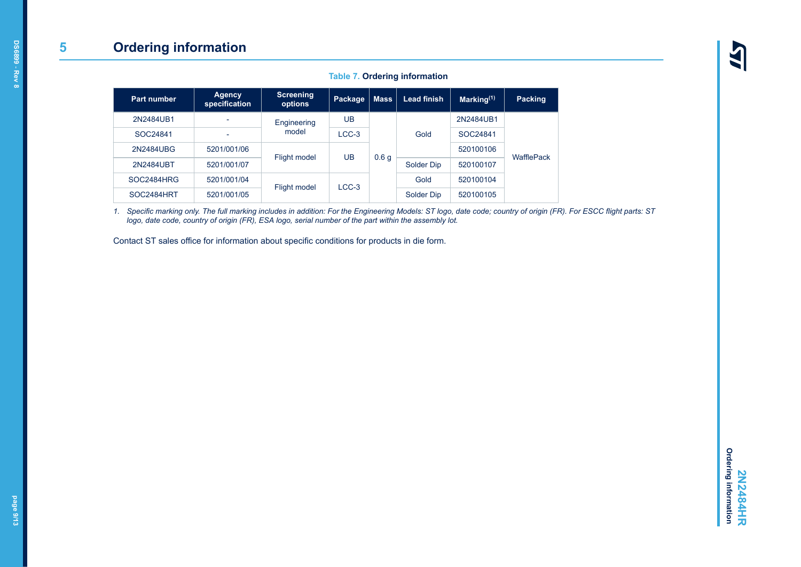#### **Table 7. Ordering information**

<span id="page-8-0"></span>

| Part number | <b>Agency</b><br>specification | <b>Screening</b><br>options | Package | <b>Mass</b>      | <b>Lead finish</b> | Marking <sup>(1)</sup> | <b>Packing</b> |
|-------------|--------------------------------|-----------------------------|---------|------------------|--------------------|------------------------|----------------|
| 2N2484UB1   |                                | Engineering                 | UB      |                  |                    | 2N2484UB1              |                |
| SOC24841    | $\overline{\phantom{a}}$       | model                       | $LCC-3$ |                  | Gold               | SOC24841               |                |
| 2N2484UBG   | 5201/001/06                    |                             | UB      |                  |                    | 520100106              | WafflePack     |
| 2N2484UBT   | 5201/001/07                    | Flight model                |         | 0.6 <sub>g</sub> | Solder Dip         | 520100107              |                |
| SOC2484HRG  | 5201/001/04                    | Flight model                | $LCC-3$ |                  | Gold               | 520100104              |                |
| SOC2484HRT  | 5201/001/05                    |                             |         |                  | Solder Dip         | 520100105              |                |

*1. Specific marking only. The full marking includes in addition: For the Engineering Models: ST logo, date code; country of origin (FR). For ESCC flight parts: ST logo, date code, country of origin (FR), ESA logo, serial number of the part within the assembly lot.*

Contact ST sales office for information about specific conditions for products in die form.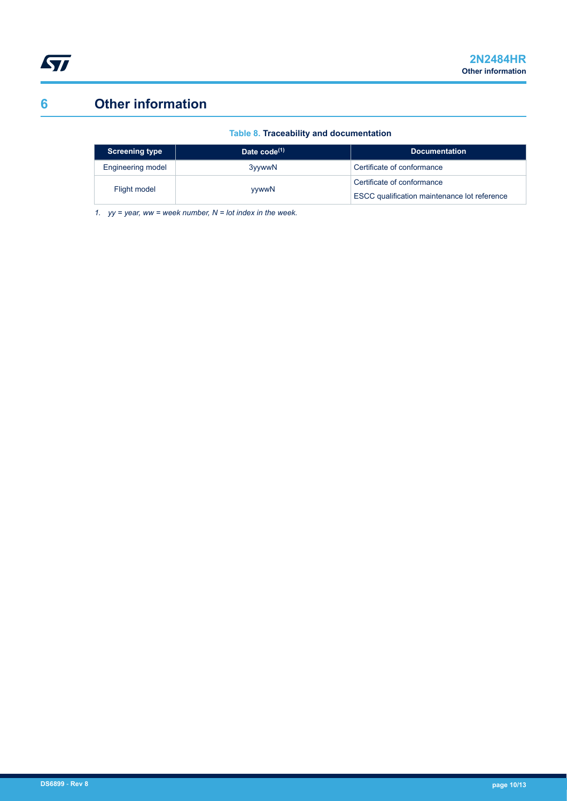# <span id="page-9-0"></span>**6 Other information**

#### **Table 8. Traceability and documentation**

| <b>Screening type</b> | Date $code^{(1)}$ | <b>Documentation</b>                                                              |
|-----------------------|-------------------|-----------------------------------------------------------------------------------|
| Engineering model     | 3yywwN            | Certificate of conformance                                                        |
| Flight model          | yywwN             | Certificate of conformance<br><b>ESCC qualification maintenance lot reference</b> |

*1. yy = year, ww = week number, N = lot index in the week.*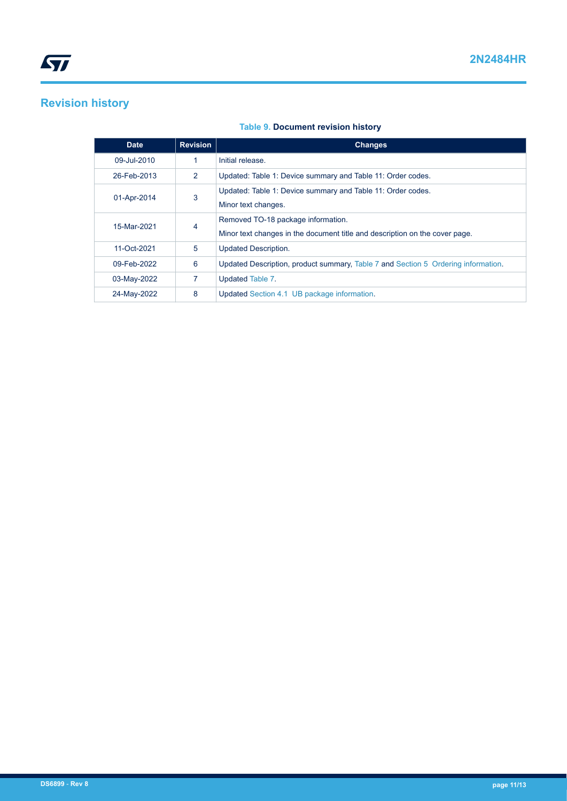## <span id="page-10-0"></span>**Revision history**

#### **Table 9. Document revision history**

| <b>Date</b> | <b>Revision</b> | <b>Changes</b>                                                                                                    |
|-------------|-----------------|-------------------------------------------------------------------------------------------------------------------|
| 09-Jul-2010 | 1               | Initial release.                                                                                                  |
| 26-Feb-2013 | 2               | Updated: Table 1: Device summary and Table 11: Order codes.                                                       |
| 01-Apr-2014 | 3               | Updated: Table 1: Device summary and Table 11: Order codes.<br>Minor text changes.                                |
| 15-Mar-2021 | 4               | Removed TO-18 package information.<br>Minor text changes in the document title and description on the cover page. |
| 11-Oct-2021 | 5               | <b>Updated Description.</b>                                                                                       |
| 09-Feb-2022 | 6               | Updated Description, product summary, Table 7 and Section 5 Ordering information.                                 |
| 03-May-2022 | 7               | Updated Table 7.                                                                                                  |
| 24-May-2022 | 8               | Updated Section 4.1 UB package information.                                                                       |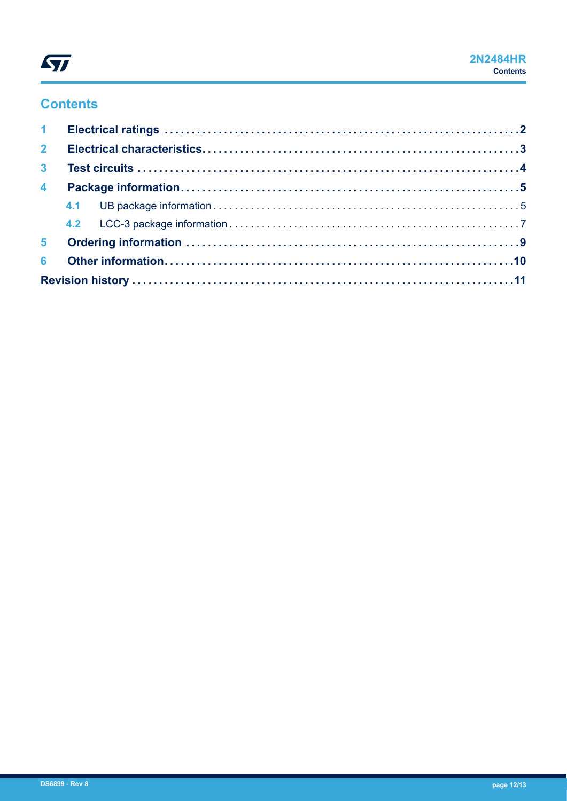# ST

### **Contents**

| 3 <sup>1</sup> |  |  |  |  |  |
|----------------|--|--|--|--|--|
|                |  |  |  |  |  |
|                |  |  |  |  |  |
|                |  |  |  |  |  |
|                |  |  |  |  |  |
|                |  |  |  |  |  |
|                |  |  |  |  |  |